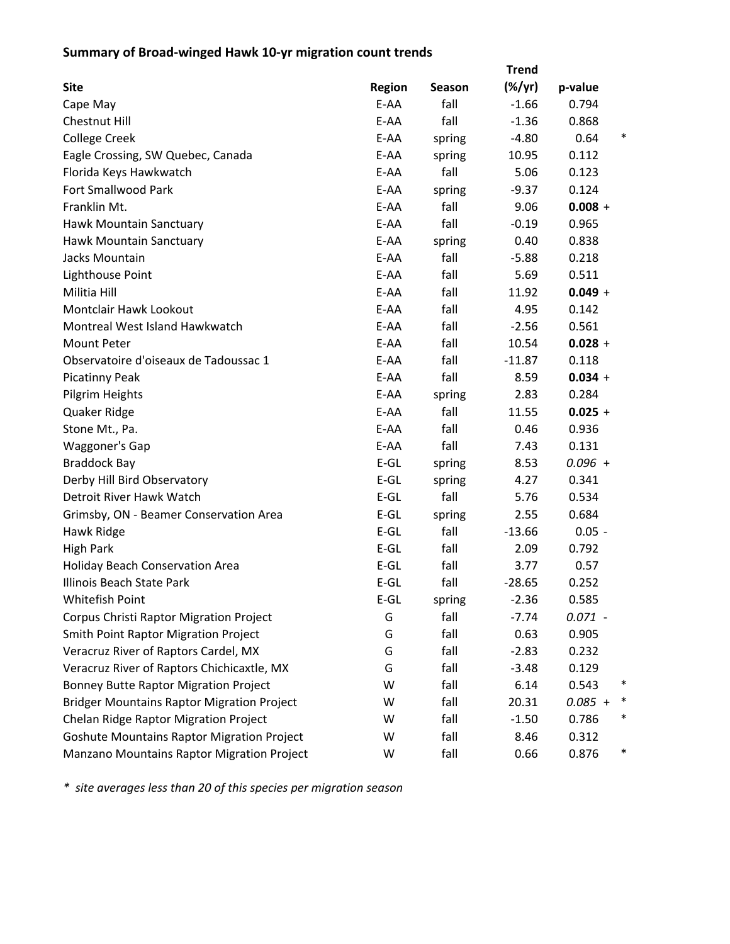## **Summary of Broad‐winged Hawk 10‐yr migration count trends**

|                                                   |               |        | <b>Trend</b> |                |
|---------------------------------------------------|---------------|--------|--------------|----------------|
| <b>Site</b>                                       | <b>Region</b> | Season | $(\%/yr)$    | p-value        |
| Cape May                                          | E-AA          | fall   | $-1.66$      | 0.794          |
| <b>Chestnut Hill</b>                              | E-AA          | fall   | $-1.36$      | 0.868          |
| <b>College Creek</b>                              | E-AA          | spring | $-4.80$      | ∗<br>0.64      |
| Eagle Crossing, SW Quebec, Canada                 | E-AA          | spring | 10.95        | 0.112          |
| Florida Keys Hawkwatch                            | E-AA          | fall   | 5.06         | 0.123          |
| <b>Fort Smallwood Park</b>                        | E-AA          | spring | $-9.37$      | 0.124          |
| Franklin Mt.                                      | E-AA          | fall   | 9.06         | $0.008 +$      |
| Hawk Mountain Sanctuary                           | E-AA          | fall   | $-0.19$      | 0.965          |
| Hawk Mountain Sanctuary                           | E-AA          | spring | 0.40         | 0.838          |
| Jacks Mountain                                    | E-AA          | fall   | $-5.88$      | 0.218          |
| Lighthouse Point                                  | E-AA          | fall   | 5.69         | 0.511          |
| Militia Hill                                      | E-AA          | fall   | 11.92        | $0.049 +$      |
| Montclair Hawk Lookout                            | E-AA          | fall   | 4.95         | 0.142          |
| Montreal West Island Hawkwatch                    | E-AA          | fall   | $-2.56$      | 0.561          |
| <b>Mount Peter</b>                                | E-AA          | fall   | 10.54        | $0.028 +$      |
| Observatoire d'oiseaux de Tadoussac 1             | E-AA          | fall   | $-11.87$     | 0.118          |
| <b>Picatinny Peak</b>                             | E-AA          | fall   | 8.59         | $0.034 +$      |
| Pilgrim Heights                                   | E-AA          | spring | 2.83         | 0.284          |
| Quaker Ridge                                      | E-AA          | fall   | 11.55        | $0.025 +$      |
| Stone Mt., Pa.                                    | E-AA          | fall   | 0.46         | 0.936          |
| Waggoner's Gap                                    | E-AA          | fall   | 7.43         | 0.131          |
| <b>Braddock Bay</b>                               | $E-GL$        | spring | 8.53         | $0.096 +$      |
| Derby Hill Bird Observatory                       | $E-GL$        | spring | 4.27         | 0.341          |
| Detroit River Hawk Watch                          | $E-GL$        | fall   | 5.76         | 0.534          |
| Grimsby, ON - Beamer Conservation Area            | $E-GL$        | spring | 2.55         | 0.684          |
| Hawk Ridge                                        | $E-GL$        | fall   | $-13.66$     | $0.05 -$       |
| <b>High Park</b>                                  | $E-GL$        | fall   | 2.09         | 0.792          |
| <b>Holiday Beach Conservation Area</b>            | $E-GL$        | fall   | 3.77         | 0.57           |
| <b>Illinois Beach State Park</b>                  | $E-GL$        | fall   | $-28.65$     | 0.252          |
| Whitefish Point                                   | $E-GL$        | spring | $-2.36$      | 0.585          |
| Corpus Christi Raptor Migration Project           | G             | fall   | $-7.74$      | $0.071 -$      |
| <b>Smith Point Raptor Migration Project</b>       | G             | fall   | 0.63         | 0.905          |
| Veracruz River of Raptors Cardel, MX              | G             | fall   | $-2.83$      | 0.232          |
| Veracruz River of Raptors Chichicaxtle, MX        | G             | fall   | $-3.48$      | 0.129          |
| <b>Bonney Butte Raptor Migration Project</b>      | W             | fall   | 6.14         | ∗<br>0.543     |
| <b>Bridger Mountains Raptor Migration Project</b> | W             | fall   | 20.31        | ∗<br>$0.085 +$ |
| Chelan Ridge Raptor Migration Project             | W             | fall   | $-1.50$      | *<br>0.786     |
| <b>Goshute Mountains Raptor Migration Project</b> | W             | fall   | 8.46         | 0.312          |
| Manzano Mountains Raptor Migration Project        | W             | fall   | 0.66         | 0.876<br>∗     |

*\* site averages less than 20 of this species per migration season*